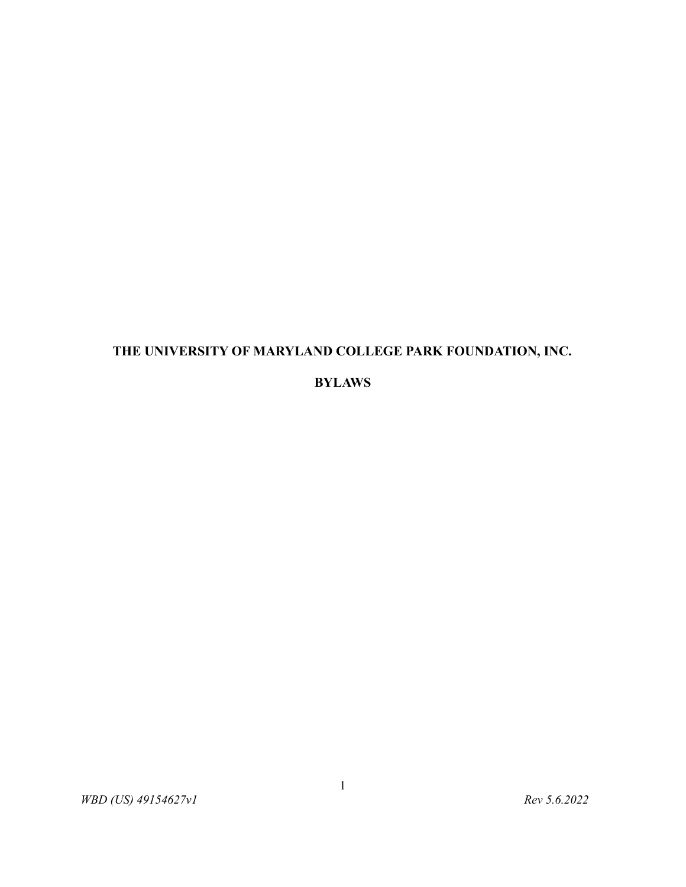# **THE UNIVERSITY OF MARYLAND COLLEGE PARK FOUNDATION, INC.**

## **BYLAWS**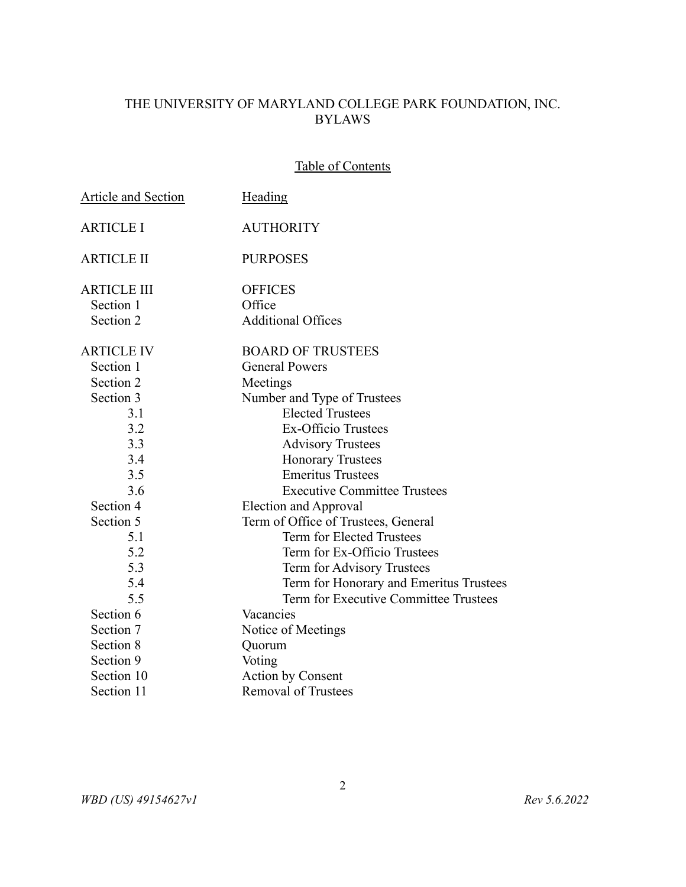# THE UNIVERSITY OF MARYLAND COLLEGE PARK FOUNDATION, INC. BYLAWS

## Table of Contents

| <b>Article and Section</b> | <b>Heading</b>                          |
|----------------------------|-----------------------------------------|
| <b>ARTICLE I</b>           | <b>AUTHORITY</b>                        |
| <b>ARTICLE II</b>          | <b>PURPOSES</b>                         |
| <b>ARTICLE III</b>         | <b>OFFICES</b>                          |
| Section 1                  | Office                                  |
| Section 2                  | <b>Additional Offices</b>               |
| <b>ARTICLE IV</b>          | <b>BOARD OF TRUSTEES</b>                |
| Section 1                  | <b>General Powers</b>                   |
| Section 2                  | Meetings                                |
| Section 3                  | Number and Type of Trustees             |
| 3.1                        | <b>Elected Trustees</b>                 |
| 3.2                        | <b>Ex-Officio Trustees</b>              |
| 3.3                        | <b>Advisory Trustees</b>                |
| 3.4                        | <b>Honorary Trustees</b>                |
| 3.5                        | <b>Emeritus Trustees</b>                |
| 3.6                        | <b>Executive Committee Trustees</b>     |
| Section 4                  | <b>Election and Approval</b>            |
| Section 5                  | Term of Office of Trustees, General     |
| 5.1                        | Term for Elected Trustees               |
| 5.2                        | Term for Ex-Officio Trustees            |
| 5.3                        | Term for Advisory Trustees              |
| 5.4                        | Term for Honorary and Emeritus Trustees |
| 5.5                        | Term for Executive Committee Trustees   |
| Section 6                  | Vacancies                               |
| Section 7                  | Notice of Meetings                      |
| Section 8                  | Quorum                                  |
| Section 9                  | Voting                                  |
| Section 10                 | <b>Action by Consent</b>                |
| Section 11                 | <b>Removal of Trustees</b>              |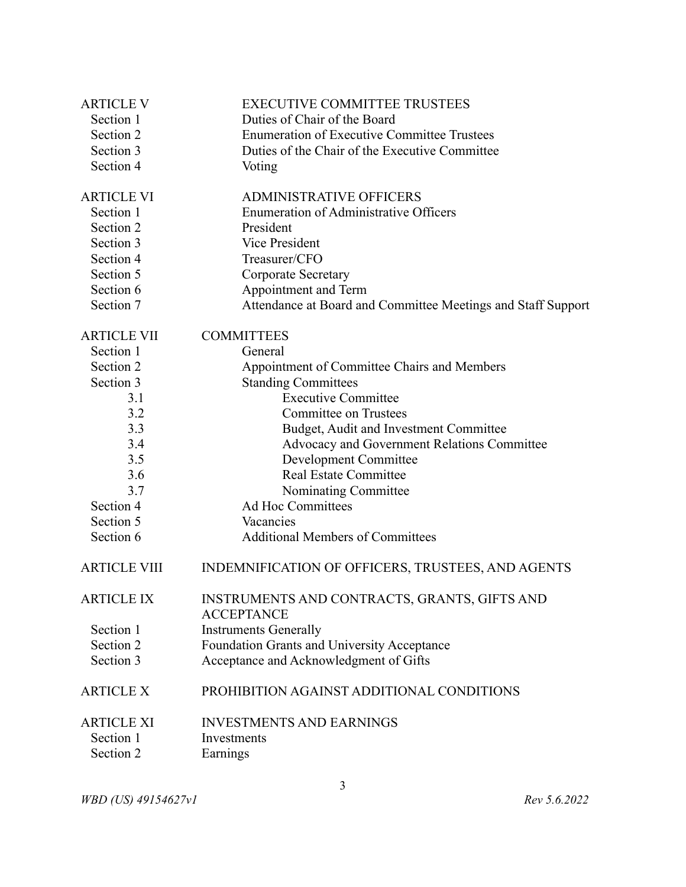| <b>ARTICLE V</b>    | <b>EXECUTIVE COMMITTEE TRUSTEES</b>                               |
|---------------------|-------------------------------------------------------------------|
| Section 1           | Duties of Chair of the Board                                      |
| Section 2           | <b>Enumeration of Executive Committee Trustees</b>                |
| Section 3           | Duties of the Chair of the Executive Committee                    |
| Section 4           | Voting                                                            |
| <b>ARTICLE VI</b>   | <b>ADMINISTRATIVE OFFICERS</b>                                    |
| Section 1           | <b>Enumeration of Administrative Officers</b>                     |
| Section 2           | President                                                         |
| Section 3           | Vice President                                                    |
| Section 4           | Treasurer/CFO                                                     |
| Section 5           | <b>Corporate Secretary</b>                                        |
| Section 6           | Appointment and Term                                              |
| Section 7           | Attendance at Board and Committee Meetings and Staff Support      |
| <b>ARTICLE VII</b>  | <b>COMMITTEES</b>                                                 |
| Section 1           | General                                                           |
| Section 2           | Appointment of Committee Chairs and Members                       |
| Section 3           | <b>Standing Committees</b>                                        |
| 3.1                 | <b>Executive Committee</b>                                        |
| 3.2                 | <b>Committee on Trustees</b>                                      |
| 3.3                 | Budget, Audit and Investment Committee                            |
| 3.4                 | Advocacy and Government Relations Committee                       |
| 3.5                 | <b>Development Committee</b>                                      |
| 3.6                 | <b>Real Estate Committee</b>                                      |
| 3.7                 | Nominating Committee                                              |
| Section 4           | Ad Hoc Committees                                                 |
| Section 5           | Vacancies                                                         |
| Section 6           | <b>Additional Members of Committees</b>                           |
| <b>ARTICLE VIII</b> | INDEMNIFICATION OF OFFICERS, TRUSTEES, AND AGENTS                 |
| <b>ARTICLE IX</b>   | INSTRUMENTS AND CONTRACTS, GRANTS, GIFTS AND<br><b>ACCEPTANCE</b> |
| Section 1           | <b>Instruments Generally</b>                                      |
| Section 2           | Foundation Grants and University Acceptance                       |
| Section 3           | Acceptance and Acknowledgment of Gifts                            |
| <b>ARTICLE X</b>    | PROHIBITION AGAINST ADDITIONAL CONDITIONS                         |
| <b>ARTICLE XI</b>   | <b>INVESTMENTS AND EARNINGS</b>                                   |
| Section 1           | Investments                                                       |
| Section 2           | Earnings                                                          |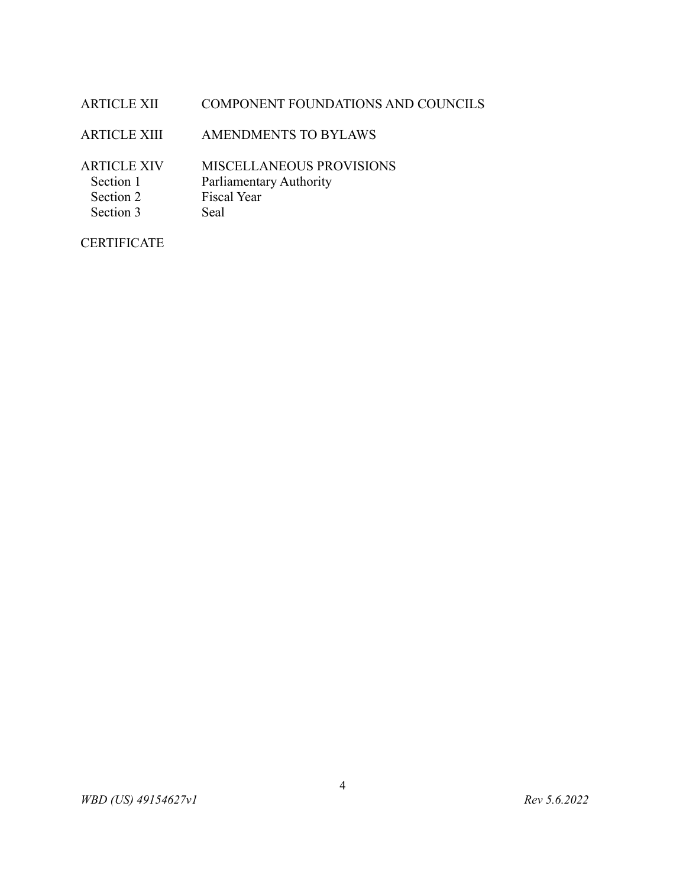#### ARTICLE XII COMPONENT FOUNDATIONS AND COUNCILS

ARTICLE XIII AMENDMENTS TO BYLAWS

ARTICLE XIV MISCELLANEOUS PROVISIONS Section 1 Parliamentary Authority Section 2 Fiscal Year Section 3 Seal

**CERTIFICATE**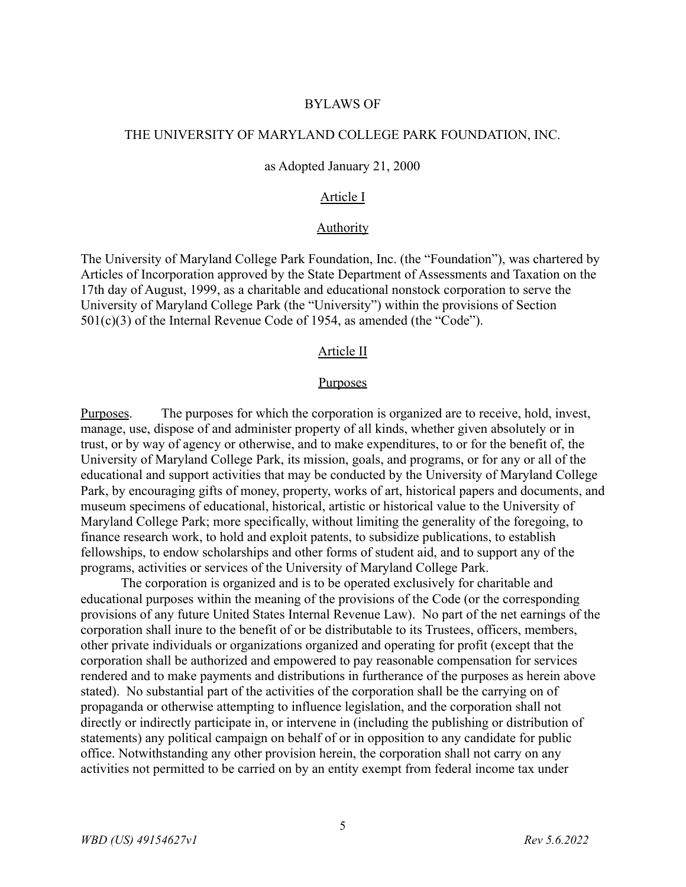#### BYLAWS OF

## THE UNIVERSITY OF MARYLAND COLLEGE PARK FOUNDATION, INC.

#### as Adopted January 21, 2000

#### Article I

#### **Authority**

The University of Maryland College Park Foundation, Inc. (the "Foundation"), was chartered by Articles of Incorporation approved by the State Department of Assessments and Taxation on the 17th day of August, 1999, as a charitable and educational nonstock corporation to serve the University of Maryland College Park (the "University") within the provisions of Section 501(c)(3) of the Internal Revenue Code of 1954, as amended (the "Code").

#### Article II

#### **Purposes**

Purposes. The purposes for which the corporation is organized are to receive, hold, invest, manage, use, dispose of and administer property of all kinds, whether given absolutely or in trust, or by way of agency or otherwise, and to make expenditures, to or for the benefit of, the University of Maryland College Park, its mission, goals, and programs, or for any or all of the educational and support activities that may be conducted by the University of Maryland College Park, by encouraging gifts of money, property, works of art, historical papers and documents, and museum specimens of educational, historical, artistic or historical value to the University of Maryland College Park; more specifically, without limiting the generality of the foregoing, to finance research work, to hold and exploit patents, to subsidize publications, to establish fellowships, to endow scholarships and other forms of student aid, and to support any of the programs, activities or services of the University of Maryland College Park.

The corporation is organized and is to be operated exclusively for charitable and educational purposes within the meaning of the provisions of the Code (or the corresponding provisions of any future United States Internal Revenue Law). No part of the net earnings of the corporation shall inure to the benefit of or be distributable to its Trustees, officers, members, other private individuals or organizations organized and operating for profit (except that the corporation shall be authorized and empowered to pay reasonable compensation for services rendered and to make payments and distributions in furtherance of the purposes as herein above stated). No substantial part of the activities of the corporation shall be the carrying on of propaganda or otherwise attempting to influence legislation, and the corporation shall not directly or indirectly participate in, or intervene in (including the publishing or distribution of statements) any political campaign on behalf of or in opposition to any candidate for public office. Notwithstanding any other provision herein, the corporation shall not carry on any activities not permitted to be carried on by an entity exempt from federal income tax under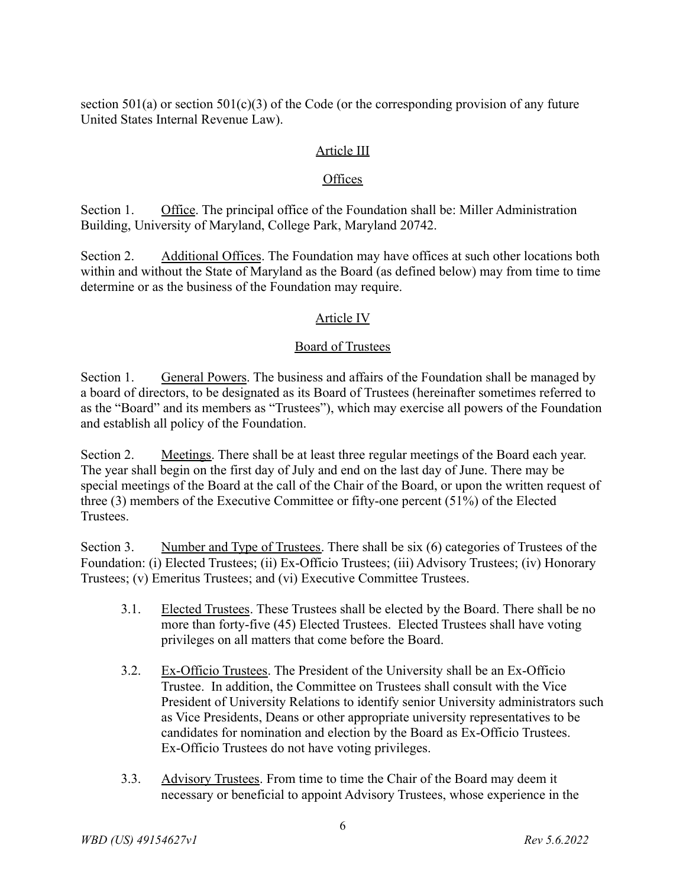section  $501(a)$  or section  $501(c)(3)$  of the Code (or the corresponding provision of any future United States Internal Revenue Law).

#### Article III

#### **Offices**

Section 1. Office. The principal office of the Foundation shall be: Miller Administration Building, University of Maryland, College Park, Maryland 20742.

Section 2. Additional Offices. The Foundation may have offices at such other locations both within and without the State of Maryland as the Board (as defined below) may from time to time determine or as the business of the Foundation may require.

#### Article IV

#### Board of Trustees

Section 1. General Powers. The business and affairs of the Foundation shall be managed by a board of directors, to be designated as its Board of Trustees (hereinafter sometimes referred to as the "Board" and its members as "Trustees"), which may exercise all powers of the Foundation and establish all policy of the Foundation.

Section 2. Meetings. There shall be at least three regular meetings of the Board each year. The year shall begin on the first day of July and end on the last day of June. There may be special meetings of the Board at the call of the Chair of the Board, or upon the written request of three (3) members of the Executive Committee or fifty-one percent (51%) of the Elected **Trustees** 

Section 3. Number and Type of Trustees. There shall be six (6) categories of Trustees of the Foundation: (i) Elected Trustees; (ii) Ex-Officio Trustees; (iii) Advisory Trustees; (iv) Honorary Trustees; (v) Emeritus Trustees; and (vi) Executive Committee Trustees.

- 3.1. Elected Trustees. These Trustees shall be elected by the Board. There shall be no more than forty-five (45) Elected Trustees. Elected Trustees shall have voting privileges on all matters that come before the Board.
- 3.2. Ex-Officio Trustees. The President of the University shall be an Ex-Officio Trustee. In addition, the Committee on Trustees shall consult with the Vice President of University Relations to identify senior University administrators such as Vice Presidents, Deans or other appropriate university representatives to be candidates for nomination and election by the Board as Ex-Officio Trustees. Ex-Officio Trustees do not have voting privileges.
- 3.3. Advisory Trustees. From time to time the Chair of the Board may deem it necessary or beneficial to appoint Advisory Trustees, whose experience in the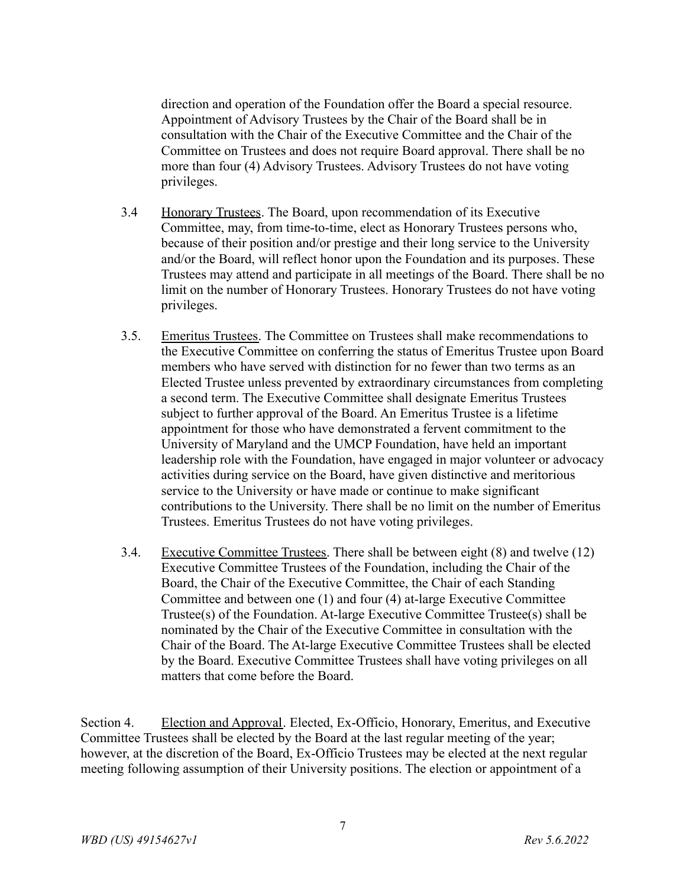direction and operation of the Foundation offer the Board a special resource. Appointment of Advisory Trustees by the Chair of the Board shall be in consultation with the Chair of the Executive Committee and the Chair of the Committee on Trustees and does not require Board approval. There shall be no more than four (4) Advisory Trustees. Advisory Trustees do not have voting privileges.

- 3.4 Honorary Trustees. The Board, upon recommendation of its Executive Committee, may, from time-to-time, elect as Honorary Trustees persons who, because of their position and/or prestige and their long service to the University and/or the Board, will reflect honor upon the Foundation and its purposes. These Trustees may attend and participate in all meetings of the Board. There shall be no limit on the number of Honorary Trustees. Honorary Trustees do not have voting privileges.
- 3.5. Emeritus Trustees. The Committee on Trustees shall make recommendations to the Executive Committee on conferring the status of Emeritus Trustee upon Board members who have served with distinction for no fewer than two terms as an Elected Trustee unless prevented by extraordinary circumstances from completing a second term. The Executive Committee shall designate Emeritus Trustees subject to further approval of the Board. An Emeritus Trustee is a lifetime appointment for those who have demonstrated a fervent commitment to the University of Maryland and the UMCP Foundation, have held an important leadership role with the Foundation, have engaged in major volunteer or advocacy activities during service on the Board, have given distinctive and meritorious service to the University or have made or continue to make significant contributions to the University. There shall be no limit on the number of Emeritus Trustees. Emeritus Trustees do not have voting privileges.
- 3.4. Executive Committee Trustees. There shall be between eight (8) and twelve (12) Executive Committee Trustees of the Foundation, including the Chair of the Board, the Chair of the Executive Committee, the Chair of each Standing Committee and between one (1) and four (4) at-large Executive Committee Trustee(s) of the Foundation. At-large Executive Committee Trustee(s) shall be nominated by the Chair of the Executive Committee in consultation with the Chair of the Board. The At-large Executive Committee Trustees shall be elected by the Board. Executive Committee Trustees shall have voting privileges on all matters that come before the Board.

Section 4. Election and Approval. Elected, Ex-Officio, Honorary, Emeritus, and Executive Committee Trustees shall be elected by the Board at the last regular meeting of the year; however, at the discretion of the Board, Ex-Officio Trustees may be elected at the next regular meeting following assumption of their University positions. The election or appointment of a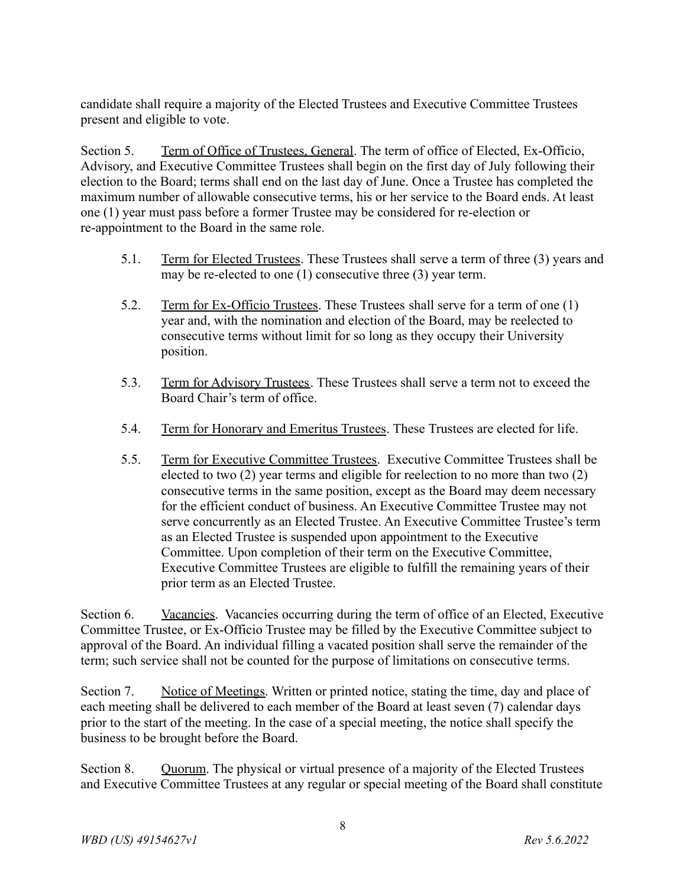candidate shall require a majority of the Elected Trustees and Executive Committee Trustees present and eligible to vote.

Section 5. Term of Office of Trustees, General. The term of office of Elected, Ex-Officio, Advisory, and Executive Committee Trustees shall begin on the first day of July following their election to the Board; terms shall end on the last day of June. Once a Trustee has completed the maximum number of allowable consecutive terms, his or her service to the Board ends. At least one (1) year must pass before a former Trustee may be considered for re-election or re-appointment to the Board in the same role.

- 5.1. Term for Elected Trustees. These Trustees shall serve a term of three (3) years and may be re-elected to one (1) consecutive three (3) year term.
- 5.2. Term for Ex-Officio Trustees. These Trustees shall serve for a term of one (1) year and, with the nomination and election of the Board, may be reelected to consecutive terms without limit for so long as they occupy their University position.
- 5.3. Term for Advisory Trustees. These Trustees shall serve a term not to exceed the Board Chair's term of office.
- 5.4. Term for Honorary and Emeritus Trustees. These Trustees are elected for life.
- 5.5. Term for Executive Committee Trustees. Executive Committee Trustees shall be elected to two (2) year terms and eligible for reelection to no more than two (2) consecutive terms in the same position, except as the Board may deem necessary for the efficient conduct of business. An Executive Committee Trustee may not serve concurrently as an Elected Trustee. An Executive Committee Trustee's term as an Elected Trustee is suspended upon appointment to the Executive Committee. Upon completion of their term on the Executive Committee, Executive Committee Trustees are eligible to fulfill the remaining years of their prior term as an Elected Trustee.

Section 6. Vacancies. Vacancies occurring during the term of office of an Elected, Executive Committee Trustee, or Ex-Officio Trustee may be filled by the Executive Committee subject to approval of the Board. An individual filling a vacated position shall serve the remainder of the term; such service shall not be counted for the purpose of limitations on consecutive terms.

Section 7. Notice of Meetings. Written or printed notice, stating the time, day and place of each meeting shall be delivered to each member of the Board at least seven (7) calendar days prior to the start of the meeting. In the case of a special meeting, the notice shall specify the business to be brought before the Board.

Section 8. Quorum. The physical or virtual presence of a majority of the Elected Trustees and Executive Committee Trustees at any regular or special meeting of the Board shall constitute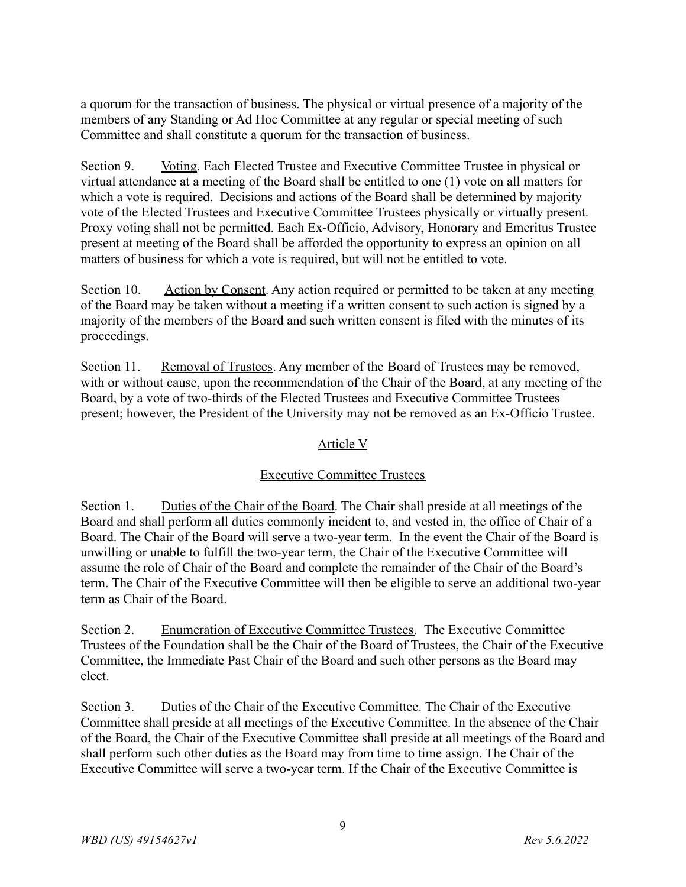a quorum for the transaction of business. The physical or virtual presence of a majority of the members of any Standing or Ad Hoc Committee at any regular or special meeting of such Committee and shall constitute a quorum for the transaction of business.

Section 9. Voting. Each Elected Trustee and Executive Committee Trustee in physical or virtual attendance at a meeting of the Board shall be entitled to one (1) vote on all matters for which a vote is required. Decisions and actions of the Board shall be determined by majority vote of the Elected Trustees and Executive Committee Trustees physically or virtually present. Proxy voting shall not be permitted. Each Ex-Officio, Advisory, Honorary and Emeritus Trustee present at meeting of the Board shall be afforded the opportunity to express an opinion on all matters of business for which a vote is required, but will not be entitled to vote.

Section 10. Action by Consent. Any action required or permitted to be taken at any meeting of the Board may be taken without a meeting if a written consent to such action is signed by a majority of the members of the Board and such written consent is filed with the minutes of its proceedings.

Section 11. Removal of Trustees. Any member of the Board of Trustees may be removed, with or without cause, upon the recommendation of the Chair of the Board, at any meeting of the Board, by a vote of two-thirds of the Elected Trustees and Executive Committee Trustees present; however, the President of the University may not be removed as an Ex-Officio Trustee.

## Article V

## Executive Committee Trustees

Section 1. Duties of the Chair of the Board. The Chair shall preside at all meetings of the Board and shall perform all duties commonly incident to, and vested in, the office of Chair of a Board. The Chair of the Board will serve a two-year term. In the event the Chair of the Board is unwilling or unable to fulfill the two-year term, the Chair of the Executive Committee will assume the role of Chair of the Board and complete the remainder of the Chair of the Board's term. The Chair of the Executive Committee will then be eligible to serve an additional two-year term as Chair of the Board.

Section 2. Enumeration of Executive Committee Trustees. The Executive Committee Trustees of the Foundation shall be the Chair of the Board of Trustees, the Chair of the Executive Committee, the Immediate Past Chair of the Board and such other persons as the Board may elect.

Section 3. Duties of the Chair of the Executive Committee. The Chair of the Executive Committee shall preside at all meetings of the Executive Committee. In the absence of the Chair of the Board, the Chair of the Executive Committee shall preside at all meetings of the Board and shall perform such other duties as the Board may from time to time assign. The Chair of the Executive Committee will serve a two-year term. If the Chair of the Executive Committee is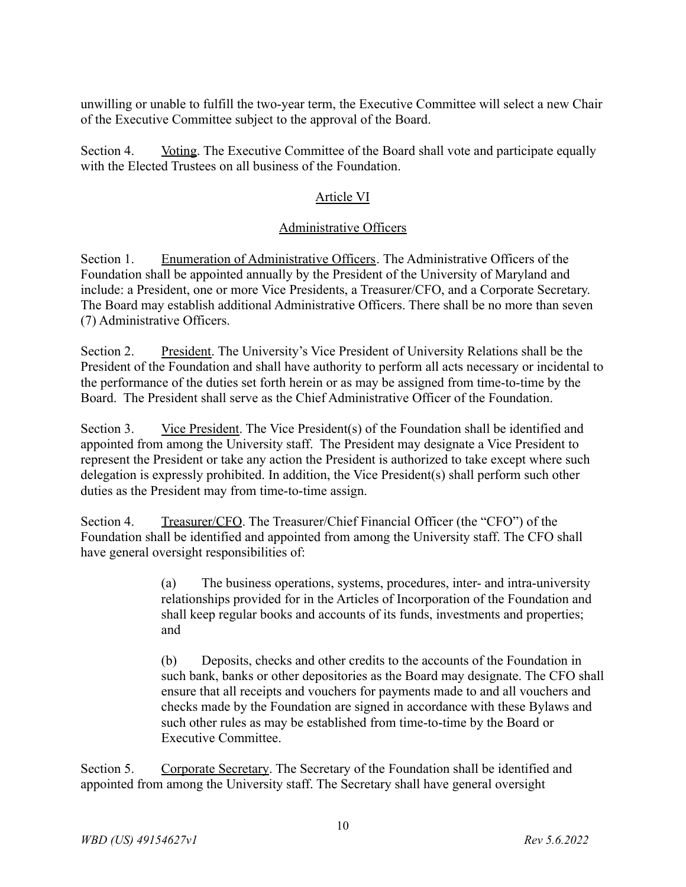unwilling or unable to fulfill the two-year term, the Executive Committee will select a new Chair of the Executive Committee subject to the approval of the Board.

Section 4. Voting. The Executive Committee of the Board shall vote and participate equally with the Elected Trustees on all business of the Foundation.

# Article VI

# Administrative Officers

Section 1. Enumeration of Administrative Officers. The Administrative Officers of the Foundation shall be appointed annually by the President of the University of Maryland and include: a President, one or more Vice Presidents, a Treasurer/CFO, and a Corporate Secretary. The Board may establish additional Administrative Officers. There shall be no more than seven (7) Administrative Officers.

Section 2. President. The University's Vice President of University Relations shall be the President of the Foundation and shall have authority to perform all acts necessary or incidental to the performance of the duties set forth herein or as may be assigned from time-to-time by the Board. The President shall serve as the Chief Administrative Officer of the Foundation.

Section 3. Vice President. The Vice President(s) of the Foundation shall be identified and appointed from among the University staff. The President may designate a Vice President to represent the President or take any action the President is authorized to take except where such delegation is expressly prohibited. In addition, the Vice President(s) shall perform such other duties as the President may from time-to-time assign.

Section 4. Treasurer/CFO. The Treasurer/Chief Financial Officer (the "CFO") of the Foundation shall be identified and appointed from among the University staff. The CFO shall have general oversight responsibilities of:

> (a) The business operations, systems, procedures, inter- and intra-university relationships provided for in the Articles of Incorporation of the Foundation and shall keep regular books and accounts of its funds, investments and properties; and

(b) Deposits, checks and other credits to the accounts of the Foundation in such bank, banks or other depositories as the Board may designate. The CFO shall ensure that all receipts and vouchers for payments made to and all vouchers and checks made by the Foundation are signed in accordance with these Bylaws and such other rules as may be established from time-to-time by the Board or Executive Committee.

Section 5. Corporate Secretary. The Secretary of the Foundation shall be identified and appointed from among the University staff. The Secretary shall have general oversight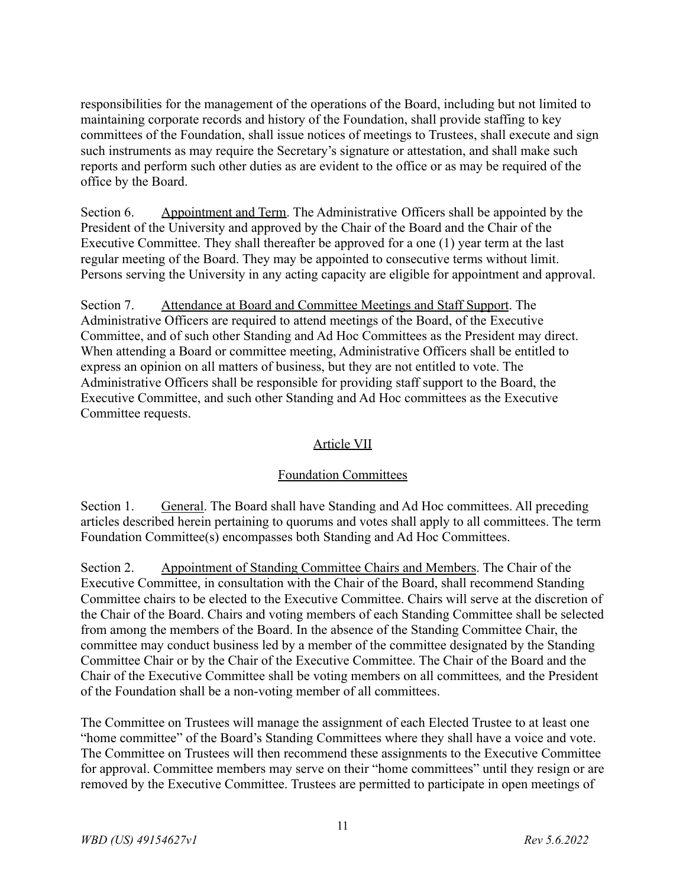responsibilities for the management of the operations of the Board, including but not limited to maintaining corporate records and history of the Foundation, shall provide staffing to key committees of the Foundation, shall issue notices of meetings to Trustees, shall execute and sign such instruments as may require the Secretary's signature or attestation, and shall make such reports and perform such other duties as are evident to the office or as may be required of the office by the Board.

Section 6. Appointment and Term. The Administrative Officers shall be appointed by the President of the University and approved by the Chair of the Board and the Chair of the Executive Committee. They shall thereafter be approved for a one (1) year term at the last regular meeting of the Board. They may be appointed to consecutive terms without limit. Persons serving the University in any acting capacity are eligible for appointment and approval.

Section 7. Attendance at Board and Committee Meetings and Staff Support. The Administrative Officers are required to attend meetings of the Board, of the Executive Committee, and of such other Standing and Ad Hoc Committees as the President may direct. When attending a Board or committee meeting, Administrative Officers shall be entitled to express an opinion on all matters of business, but they are not entitled to vote. The Administrative Officers shall be responsible for providing staff support to the Board, the Executive Committee, and such other Standing and Ad Hoc committees as the Executive Committee requests.

## Article VII

## Foundation Committees

Section 1. General. The Board shall have Standing and Ad Hoc committees. All preceding articles described herein pertaining to quorums and votes shall apply to all committees. The term Foundation Committee(s) encompasses both Standing and Ad Hoc Committees.

Section 2. Appointment of Standing Committee Chairs and Members. The Chair of the Executive Committee, in consultation with the Chair of the Board, shall recommend Standing Committee chairs to be elected to the Executive Committee. Chairs will serve at the discretion of the Chair of the Board. Chairs and voting members of each Standing Committee shall be selected from among the members of the Board. In the absence of the Standing Committee Chair, the committee may conduct business led by a member of the committee designated by the Standing Committee Chair or by the Chair of the Executive Committee. The Chair of the Board and the Chair of the Executive Committee shall be voting members on all committees*,* and the President of the Foundation shall be a non-voting member of all committees.

The Committee on Trustees will manage the assignment of each Elected Trustee to at least one "home committee" of the Board's Standing Committees where they shall have a voice and vote. The Committee on Trustees will then recommend these assignments to the Executive Committee for approval. Committee members may serve on their "home committees" until they resign or are removed by the Executive Committee. Trustees are permitted to participate in open meetings of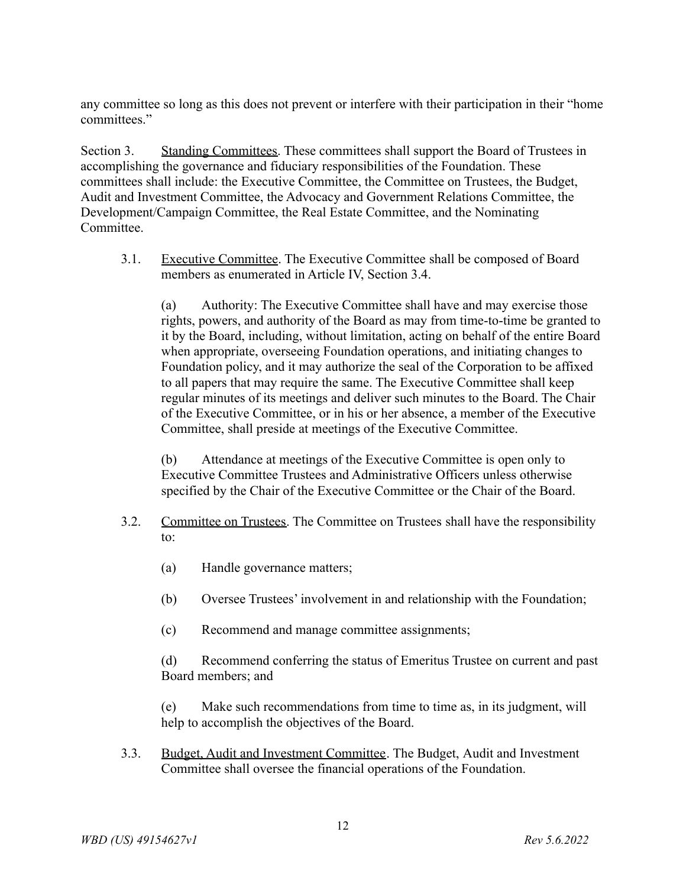any committee so long as this does not prevent or interfere with their participation in their "home committees."

Section 3. Standing Committees. These committees shall support the Board of Trustees in accomplishing the governance and fiduciary responsibilities of the Foundation. These committees shall include: the Executive Committee, the Committee on Trustees, the Budget, Audit and Investment Committee, the Advocacy and Government Relations Committee, the Development/Campaign Committee, the Real Estate Committee, and the Nominating Committee.

3.1. Executive Committee. The Executive Committee shall be composed of Board members as enumerated in Article IV, Section 3.4.

(a) Authority: The Executive Committee shall have and may exercise those rights, powers, and authority of the Board as may from time-to-time be granted to it by the Board, including, without limitation, acting on behalf of the entire Board when appropriate, overseeing Foundation operations, and initiating changes to Foundation policy, and it may authorize the seal of the Corporation to be affixed to all papers that may require the same. The Executive Committee shall keep regular minutes of its meetings and deliver such minutes to the Board. The Chair of the Executive Committee, or in his or her absence, a member of the Executive Committee, shall preside at meetings of the Executive Committee.

(b) Attendance at meetings of the Executive Committee is open only to Executive Committee Trustees and Administrative Officers unless otherwise specified by the Chair of the Executive Committee or the Chair of the Board.

- 3.2. Committee on Trustees. The Committee on Trustees shall have the responsibility to:
	- (a) Handle governance matters;
	- (b) Oversee Trustees' involvement in and relationship with the Foundation;
	- (c) Recommend and manage committee assignments;

(d) Recommend conferring the status of Emeritus Trustee on current and past Board members; and

(e) Make such recommendations from time to time as, in its judgment, will help to accomplish the objectives of the Board.

3.3. Budget, Audit and Investment Committee. The Budget, Audit and Investment Committee shall oversee the financial operations of the Foundation.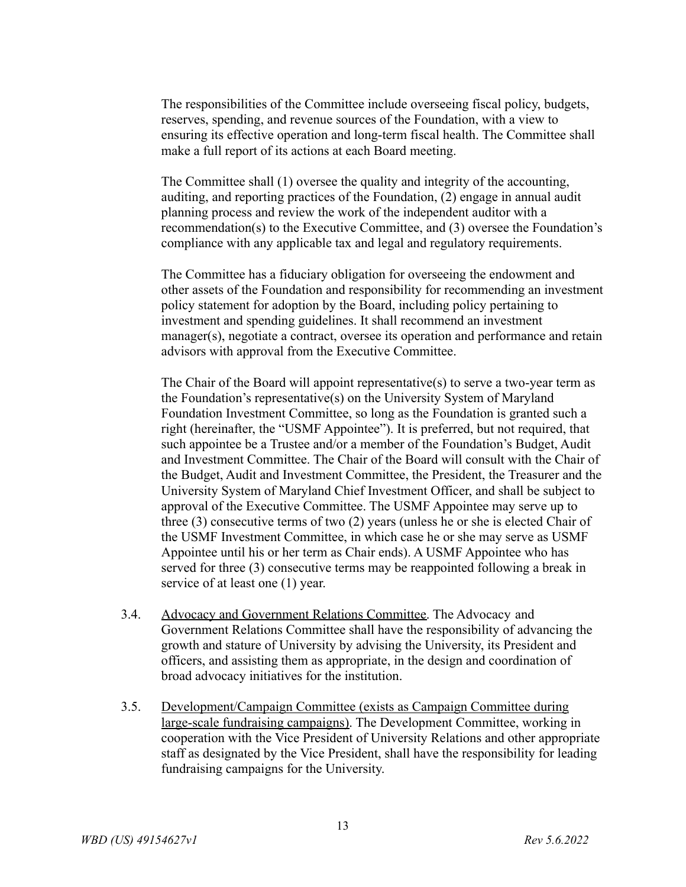The responsibilities of the Committee include overseeing fiscal policy, budgets, reserves, spending, and revenue sources of the Foundation, with a view to ensuring its effective operation and long-term fiscal health. The Committee shall make a full report of its actions at each Board meeting.

The Committee shall (1) oversee the quality and integrity of the accounting, auditing, and reporting practices of the Foundation, (2) engage in annual audit planning process and review the work of the independent auditor with a recommendation(s) to the Executive Committee, and (3) oversee the Foundation's compliance with any applicable tax and legal and regulatory requirements.

The Committee has a fiduciary obligation for overseeing the endowment and other assets of the Foundation and responsibility for recommending an investment policy statement for adoption by the Board, including policy pertaining to investment and spending guidelines. It shall recommend an investment manager(s), negotiate a contract, oversee its operation and performance and retain advisors with approval from the Executive Committee.

The Chair of the Board will appoint representative(s) to serve a two-year term as the Foundation's representative(s) on the University System of Maryland Foundation Investment Committee, so long as the Foundation is granted such a right (hereinafter, the "USMF Appointee"). It is preferred, but not required, that such appointee be a Trustee and/or a member of the Foundation's Budget, Audit and Investment Committee. The Chair of the Board will consult with the Chair of the Budget, Audit and Investment Committee, the President, the Treasurer and the University System of Maryland Chief Investment Officer, and shall be subject to approval of the Executive Committee. The USMF Appointee may serve up to three (3) consecutive terms of two (2) years (unless he or she is elected Chair of the USMF Investment Committee, in which case he or she may serve as USMF Appointee until his or her term as Chair ends). A USMF Appointee who has served for three (3) consecutive terms may be reappointed following a break in service of at least one (1) year.

- 3.4. Advocacy and Government Relations Committee. The Advocacy and Government Relations Committee shall have the responsibility of advancing the growth and stature of University by advising the University, its President and officers, and assisting them as appropriate, in the design and coordination of broad advocacy initiatives for the institution.
- 3.5. Development/Campaign Committee (exists as Campaign Committee during large-scale fundraising campaigns). The Development Committee, working in cooperation with the Vice President of University Relations and other appropriate staff as designated by the Vice President, shall have the responsibility for leading fundraising campaigns for the University.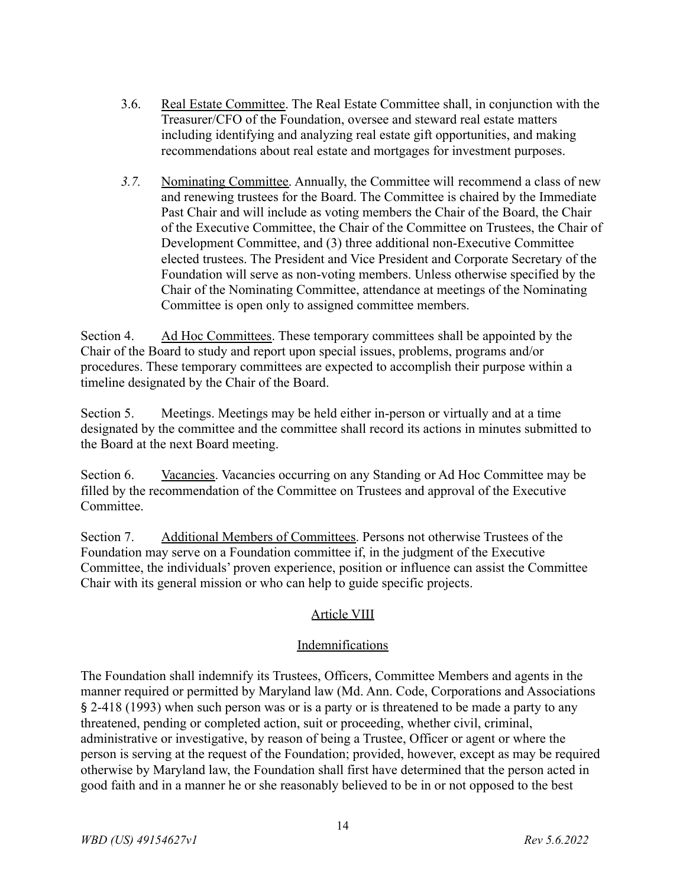- 3.6. Real Estate Committee. The Real Estate Committee shall, in conjunction with the Treasurer/CFO of the Foundation, oversee and steward real estate matters including identifying and analyzing real estate gift opportunities, and making recommendations about real estate and mortgages for investment purposes.
- *3.7.* Nominating Committee. Annually, the Committee will recommend a class of new and renewing trustees for the Board. The Committee is chaired by the Immediate Past Chair and will include as voting members the Chair of the Board, the Chair of the Executive Committee, the Chair of the Committee on Trustees, the Chair of Development Committee, and (3) three additional non-Executive Committee elected trustees. The President and Vice President and Corporate Secretary of the Foundation will serve as non-voting members. Unless otherwise specified by the Chair of the Nominating Committee, attendance at meetings of the Nominating Committee is open only to assigned committee members.

Section 4. Ad Hoc Committees. These temporary committees shall be appointed by the Chair of the Board to study and report upon special issues, problems, programs and/or procedures. These temporary committees are expected to accomplish their purpose within a timeline designated by the Chair of the Board.

Section 5. Meetings. Meetings may be held either in-person or virtually and at a time designated by the committee and the committee shall record its actions in minutes submitted to the Board at the next Board meeting.

Section 6. Vacancies. Vacancies occurring on any Standing or Ad Hoc Committee may be filled by the recommendation of the Committee on Trustees and approval of the Executive Committee.

Section 7. Additional Members of Committees. Persons not otherwise Trustees of the Foundation may serve on a Foundation committee if, in the judgment of the Executive Committee, the individuals' proven experience, position or influence can assist the Committee Chair with its general mission or who can help to guide specific projects.

# Article VIII

## Indemnifications

The Foundation shall indemnify its Trustees, Officers, Committee Members and agents in the manner required or permitted by Maryland law (Md. Ann. Code, Corporations and Associations § 2-418 (1993) when such person was or is a party or is threatened to be made a party to any threatened, pending or completed action, suit or proceeding, whether civil, criminal, administrative or investigative, by reason of being a Trustee, Officer or agent or where the person is serving at the request of the Foundation; provided, however, except as may be required otherwise by Maryland law, the Foundation shall first have determined that the person acted in good faith and in a manner he or she reasonably believed to be in or not opposed to the best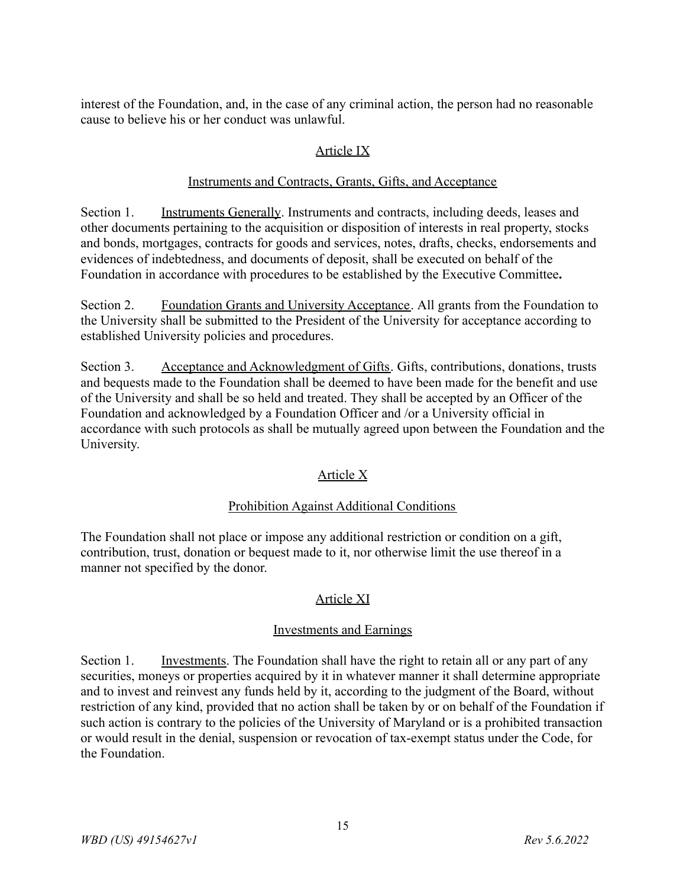interest of the Foundation, and, in the case of any criminal action, the person had no reasonable cause to believe his or her conduct was unlawful.

## Article IX

## Instruments and Contracts, Grants, Gifts, and Acceptance

Section 1. Instruments Generally. Instruments and contracts, including deeds, leases and other documents pertaining to the acquisition or disposition of interests in real property, stocks and bonds, mortgages, contracts for goods and services, notes, drafts, checks, endorsements and evidences of indebtedness, and documents of deposit, shall be executed on behalf of the Foundation in accordance with procedures to be established by the Executive Committee**.**

Section 2. Foundation Grants and University Acceptance. All grants from the Foundation to the University shall be submitted to the President of the University for acceptance according to established University policies and procedures.

Section 3. Acceptance and Acknowledgment of Gifts. Gifts, contributions, donations, trusts and bequests made to the Foundation shall be deemed to have been made for the benefit and use of the University and shall be so held and treated. They shall be accepted by an Officer of the Foundation and acknowledged by a Foundation Officer and /or a University official in accordance with such protocols as shall be mutually agreed upon between the Foundation and the University.

# Article X

## Prohibition Against Additional Conditions

The Foundation shall not place or impose any additional restriction or condition on a gift, contribution, trust, donation or bequest made to it, nor otherwise limit the use thereof in a manner not specified by the donor.

# Article XI

## Investments and Earnings

Section 1. Investments. The Foundation shall have the right to retain all or any part of any securities, moneys or properties acquired by it in whatever manner it shall determine appropriate and to invest and reinvest any funds held by it, according to the judgment of the Board, without restriction of any kind, provided that no action shall be taken by or on behalf of the Foundation if such action is contrary to the policies of the University of Maryland or is a prohibited transaction or would result in the denial, suspension or revocation of tax-exempt status under the Code, for the Foundation.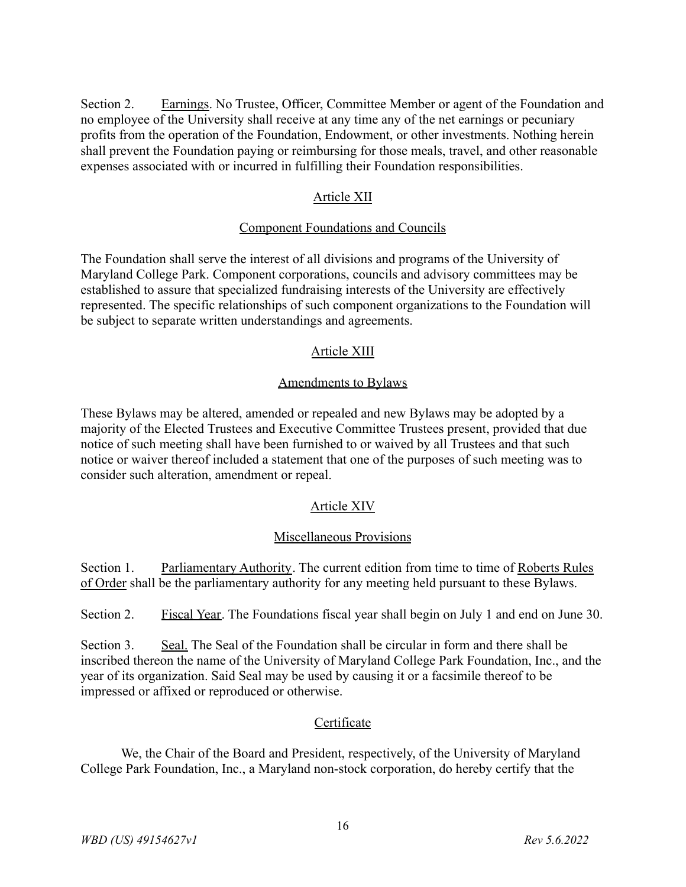Section 2. Earnings. No Trustee, Officer, Committee Member or agent of the Foundation and no employee of the University shall receive at any time any of the net earnings or pecuniary profits from the operation of the Foundation, Endowment, or other investments. Nothing herein shall prevent the Foundation paying or reimbursing for those meals, travel, and other reasonable expenses associated with or incurred in fulfilling their Foundation responsibilities.

## Article XII

## Component Foundations and Councils

The Foundation shall serve the interest of all divisions and programs of the University of Maryland College Park. Component corporations, councils and advisory committees may be established to assure that specialized fundraising interests of the University are effectively represented. The specific relationships of such component organizations to the Foundation will be subject to separate written understandings and agreements.

## Article XIII

#### Amendments to Bylaws

These Bylaws may be altered, amended or repealed and new Bylaws may be adopted by a majority of the Elected Trustees and Executive Committee Trustees present, provided that due notice of such meeting shall have been furnished to or waived by all Trustees and that such notice or waiver thereof included a statement that one of the purposes of such meeting was to consider such alteration, amendment or repeal.

## Article XIV

#### Miscellaneous Provisions

Section 1. Parliamentary Authority. The current edition from time to time of Roberts Rules of Order shall be the parliamentary authority for any meeting held pursuant to these Bylaws.

Section 2. Fiscal Year. The Foundations fiscal year shall begin on July 1 and end on June 30.

Section 3. Seal. The Seal of the Foundation shall be circular in form and there shall be inscribed thereon the name of the University of Maryland College Park Foundation, Inc., and the year of its organization. Said Seal may be used by causing it or a facsimile thereof to be impressed or affixed or reproduced or otherwise.

## **Certificate**

We, the Chair of the Board and President, respectively, of the University of Maryland College Park Foundation, Inc., a Maryland non-stock corporation, do hereby certify that the